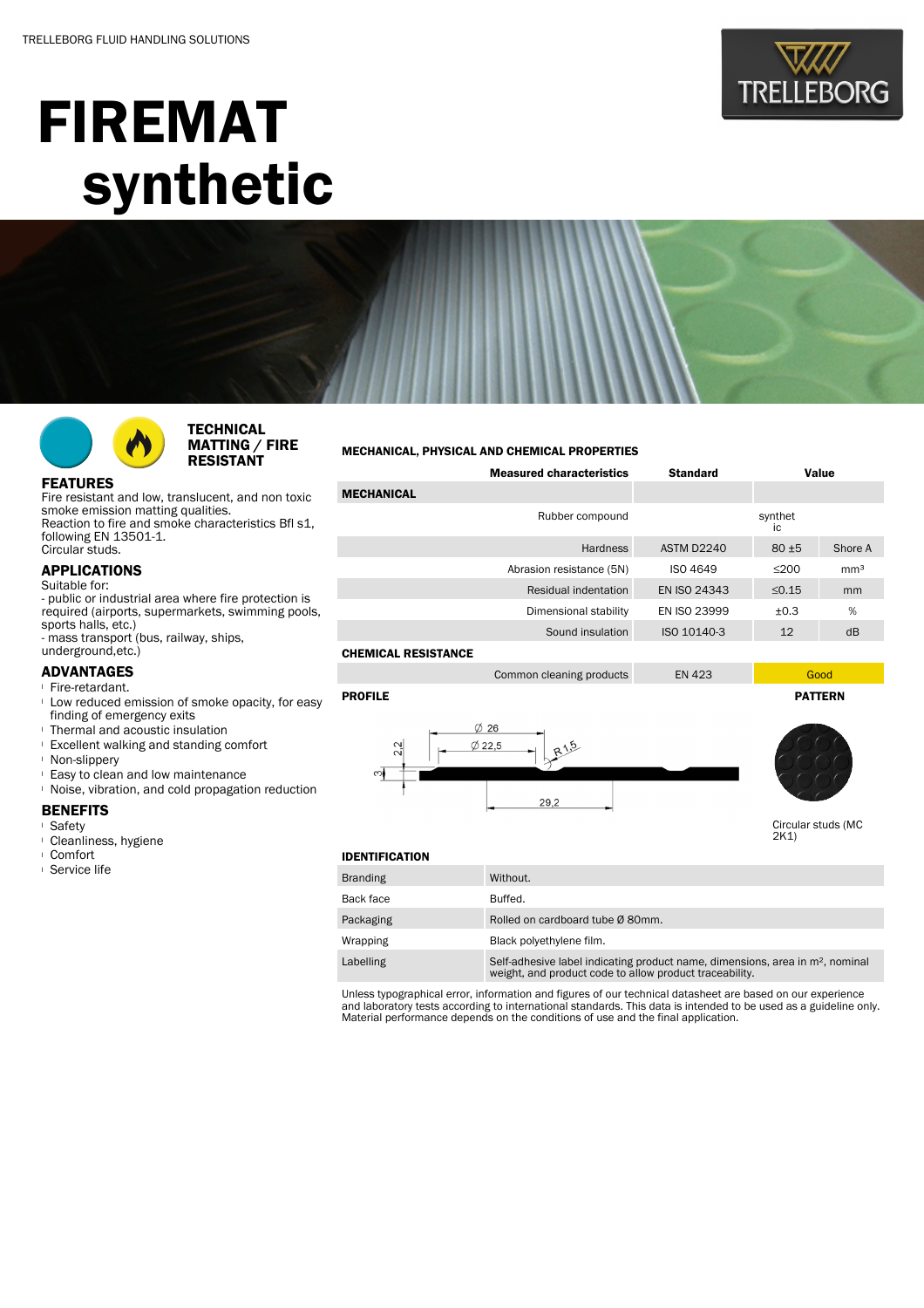

# FIREMAT synthetic



**TECHNICAL** MATTING / FIRE RESISTANT

#### MECHANICAL, PHYSICAL AND CHEMICAL PROPERTIES

| <b>FEATURES</b> |  |
|-----------------|--|
|                 |  |

Fire resistant and low, translucent, and non toxic smoke emission matting qualities. Reaction to fire and smoke characteristics Bfl s1, following EN 13501-1. Circular studs.

## APPLICATIONS

Suitable for: - public or industrial area where fire protection is required (airports, supermarkets, swimming pools, sports halls, etc.)

- mass transport (bus, railway, ships,

#### underground,etc.) ADVANTAGES

- <sup>l</sup> Fire-retardant.
- <sup>l</sup> Low reduced emission of smoke opacity, for easy finding of emergency exits
- **I** Thermal and acoustic insulation
- <sup>l</sup> Excellent walking and standing comfort
- <sup>l</sup> Non-slippery
- <sup>l</sup> Easy to clean and low maintenance
- <sup>l</sup> Noise, vibration, and cold propagation reduction

#### **BENEFITS**

- <sup>l</sup> Safety
- <sup>l</sup> Cleanliness, hygiene
- <sup>l</sup> Comfort
- <sup>l</sup> Service life

### Measured characteristics Standard Value **MECHANICAL** Rubber compound synthet ic Hardness ASTM D2240 80 ±5 Shore A Abrasion resistance (5N) ISO 4649 ≤200 mm<sup>3</sup> Residual indentation EN ISO 24343 ≤0.15 mm Dimensional stability EN ISO 23999  $\pm$ 0.3 % Sound insulation ISO 10140-3 12 dB CHEMICAL RESISTANCE

Common cleaning products EN 423

PROFILE PATTERN





Circular studs (MC 2K1)

#### IDENTIFICATION

| <b>Branding</b> | Without.                                                                                                                                   |
|-----------------|--------------------------------------------------------------------------------------------------------------------------------------------|
| Back face       | Buffed.                                                                                                                                    |
| Packaging       | Rolled on cardboard tube Ø 80mm.                                                                                                           |
| Wrapping        | Black polyethylene film.                                                                                                                   |
| Labelling       | Self-adhesive label indicating product name, dimensions, area in $m2$ , nominal<br>weight, and product code to allow product traceability. |

Unless typographical error, information and figures of our technical datasheet are based on our experience and laboratory tests according to international standards. This data is intended to be used as a guideline only. Material performance depends on the conditions of use and the final application.